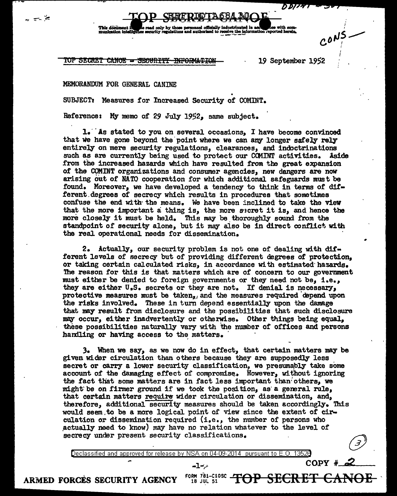This document in the cent only by those personnel officially indoctrinated in act the one with com-<br>munication intellige security regulations and authorized to receive the information reported herein.

TOP SECRET CANO<del>E = SECURITY INFORMATION 1952</del> 19 September 1952

## MEMORANDUM FOR GENERAL CANINE

یخ ہے

SUBJECT: Measures for Increased Security of COMINT.

Reference: My memo of 29 July 1952, same subject.

 $i.$  As stated to you on several occasions, I have become convinced that we have gone beyond the point where we can any longer safely rely entirely on mere security regulations, clearances, and indoctrinations such as are currently being used to protect our COMINT activities. Aside from the increased hazards which have resulted from the great expansion of the COMINT organizations and consumer agencies, new dangers are now arising out of NATO cooperation for which additional safeguards must be found. Moreover, we have developed a tendency to think in terms of dit ferent degrees of secrecy which results in procedures that sometimes confuse the end with· the means. We have been inclined to take the view that the more important a thing is, the more secret it is, and hence the more closely it must be held. This may be thoroughly sound from the standpoint of security alone, but it may also be in direct conflict with the real operational needs for dissemination.

2. Actually, our security problem is not one of dealing with different levels of secrecy but of providing different degrees of protection, or taking certain calculated risks, in accordance with estimated· hazards. The reason for this is that matters which are of concern to our government must either be denied to foreign governments or they need not be, i.e., they are either U.S. secrets or they are not. If denial is necessary, protective measures must be taken, and the measures required depend upon the risks involved. These in turn depend essentially upon the damage that may result from disclosure and the possibilities that such disclosure may occur, either inadvertently or otherwise. Other things being equal, these possibilities naturally vary with the number of offices and persons hardling or having access to the matters.

3. When we say, as we now do in effect, that certain matters may be given wider circulation than others because they are supposedly less secret or carry a lower security classification, we presumably take some account of the damaging effect of compromise. However, without ignoring the fact that some matters are in fact less important than others, we might be on firmer ground if we took the position, as a general rule, that certain matters require wider circulation or dissemination, and, therefore, additional security measures should be taken accordingly. This would seem to be a more logical point of view since the extent of circulation or dissemination required  $(i.e.,$  the number of persons who actually need to know) may have no relation whatever to the level of secrecy under present security classifications.

Declassified and approved for release by NSA on 04-09-2014 pursuant to E. 0. 1352B

18 JUL 51

خر ً∽\_1⊷

OP SECRET

CO.PY *#·......-,:< \_\_ \_* 

ARMED FORCES SECURITY AGENCY  $\frac{f_0R_0}{18}$  Jul 51